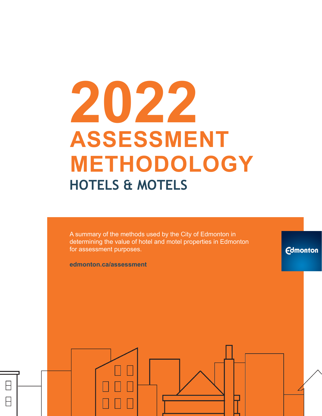# **2022 ASSESSMENT METHODOLOGY HOTELS & MOTELS**

A summary of the methods used by the City of Edmonton in determining the value of hotel and motel properties in Edmonton for assessment purposes.

**Edmonton** 

**edmonton.ca/assessment**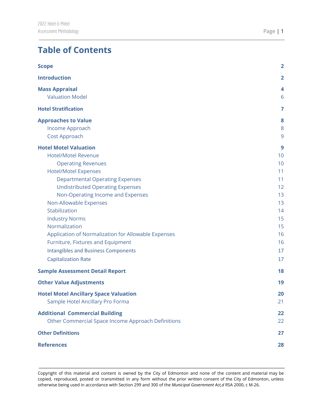## **Table of Contents**

| <b>Scope</b>                                                                                                                                                                                                                                                                                                                                                                                                                                                                                                  | $\overline{2}$                                                                        |
|---------------------------------------------------------------------------------------------------------------------------------------------------------------------------------------------------------------------------------------------------------------------------------------------------------------------------------------------------------------------------------------------------------------------------------------------------------------------------------------------------------------|---------------------------------------------------------------------------------------|
| <b>Introduction</b>                                                                                                                                                                                                                                                                                                                                                                                                                                                                                           | $\overline{2}$                                                                        |
| <b>Mass Appraisal</b><br><b>Valuation Model</b>                                                                                                                                                                                                                                                                                                                                                                                                                                                               | 4<br>6                                                                                |
| <b>Hotel Stratification</b>                                                                                                                                                                                                                                                                                                                                                                                                                                                                                   | 7                                                                                     |
| <b>Approaches to Value</b><br>Income Approach<br>Cost Approach                                                                                                                                                                                                                                                                                                                                                                                                                                                | 8<br>8<br>9                                                                           |
| <b>Hotel Motel Valuation</b><br><b>Hotel/Motel Revenue</b><br><b>Operating Revenues</b><br><b>Hotel/Motel Expenses</b><br><b>Departmental Operating Expenses</b><br><b>Undistributed Operating Expenses</b><br>Non-Operating Income and Expenses<br>Non-Allowable Expenses<br>Stabilization<br><b>Industry Norms</b><br>Normalization<br>Application of Normalization for Allowable Expenses<br>Furniture, Fixtures and Equipment<br><b>Intangibles and Business Components</b><br><b>Capitalization Rate</b> | 9<br>10<br>10<br>11<br>11<br>12<br>13<br>13<br>14<br>15<br>15<br>16<br>16<br>17<br>17 |
| <b>Sample Assessment Detail Report</b>                                                                                                                                                                                                                                                                                                                                                                                                                                                                        | 18                                                                                    |
| <b>Other Value Adjustments</b>                                                                                                                                                                                                                                                                                                                                                                                                                                                                                | 19                                                                                    |
| <b>Hotel Motel Ancillary Space Valuation</b><br>Sample Hotel Ancillary Pro Forma<br><b>Additional Commercial Building</b>                                                                                                                                                                                                                                                                                                                                                                                     | 20<br>21<br>22                                                                        |
| Other Commercial Space Income Approach Definitions                                                                                                                                                                                                                                                                                                                                                                                                                                                            | 22                                                                                    |
| <b>Other Definitions</b>                                                                                                                                                                                                                                                                                                                                                                                                                                                                                      | 27                                                                                    |
| <b>References</b>                                                                                                                                                                                                                                                                                                                                                                                                                                                                                             | 28                                                                                    |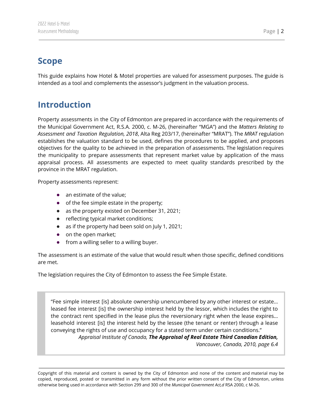# <span id="page-2-0"></span>**Scope**

This guide explains how Hotel & Motel properties are valued for assessment purposes. The guide is intended as a tool and complements the assessor's judgment in the valuation process.

# <span id="page-2-1"></span>**Introduction**

Property assessments in the City of Edmonton are prepared in accordance with the requirements of the Municipal Government Act, R.S.A. 2000, c. M-26, (hereinafter "MGA") and the *Matters Relating to Assessment and Taxation Regulation, 2018*, Alta Reg 203/17, (hereinafter "MRAT"). The *MRAT* regulation establishes the valuation standard to be used, defines the procedures to be applied, and proposes objectives for the quality to be achieved in the preparation of assessments. The legislation requires the municipality to prepare assessments that represent market value by application of the mass appraisal process. All assessments are expected to meet quality standards prescribed by the province in the MRAT regulation.

Property assessments represent:

- an estimate of the value;
- of the fee simple estate in the property;
- as the property existed on December 31, 2021;
- reflecting typical market conditions;
- as if the property had been sold on July 1, 2021;
- on the open market;
- from a willing seller to a willing buyer.

The assessment is an estimate of the value that would result when those specific, defined conditions are met.

The legislation requires the City of Edmonton to assess the Fee Simple Estate.

"Fee simple interest [is] absolute ownership unencumbered by any other interest or estate… leased fee interest [is] the ownership interest held by the lessor, which includes the right to the contract rent specified in the lease plus the reversionary right when the lease expires… leasehold interest [is] the interest held by the lessee (the tenant or renter) through a lease conveying the rights of use and occupancy for a stated term under certain conditions." *Appraisal Institute of Canada, The Appraisal of Real Estate Third Canadian Edition,*

*Vancouver, Canada, 2010, page 6.4*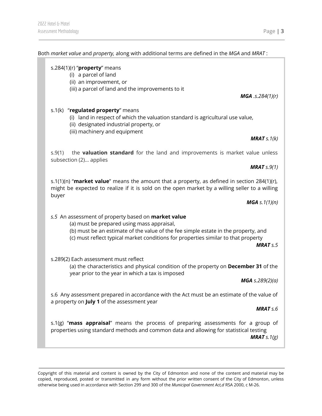#### s.284(1)(r) "**property**" means

- (i) a parcel of land
- (ii) an improvement, or
- (iii) a parcel of land and the improvements to it

#### s.1(k) "**regulated property**" means

- (i) land in respect of which the valuation standard is agricultural use value,
- (ii) designated industrial property, or
- (iii) machinery and equipment

#### *MRAT s.1(k)*

s.9(1) the **valuation standard** for the land and improvements is market value unless subsection (2)… applies

#### *MRAT s.9(1)*

s.1(1)(n) "**market value**" means the amount that a property, as defined in section 284(1)(r), might be expected to realize if it is sold on the open market by a willing seller to a willing buyer

*MGA s.1(1)(n)*

*s.5* An assessment of property based on **market value**

(a) must be prepared using mass appraisal,

- (b) must be an estimate of the value of the fee simple estate in the property, and
- (c) must reflect typical market conditions for properties similar to that property

*MRAT s.5*

s.289(2) Each assessment must reflect

(a) the characteristics and physical condition of the property on **December 31** of the year prior to the year in which a tax is imposed

*MGA s.289(2)(a)*

s.6 Any assessment prepared in accordance with the Act must be an estimate of the value of a property on **July 1** of the assessment year

#### *MRAT s.6*

s.1(g) "**mass appraisal**" means the process of preparing assessments for a group of properties using standard methods and common data and allowing for statistical testing *MRAT s.1(g)*

Copyright of this material and content is owned by the City of Edmonton and none of the content and material may be copied, reproduced, posted or transmitted in any form without the prior written consent of the City of Edmonton, unless otherwise being used in accordance with Section 299 and 300 of the *Municipal Government Act,d* RSA 2000, c M-26.

*MGA .s.284(1)(r)*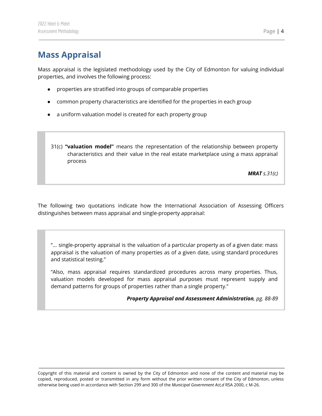# <span id="page-4-0"></span>**Mass Appraisal**

Mass appraisal is the legislated methodology used by the City of Edmonton for valuing individual properties, and involves the following process:

- properties are stratified into groups of comparable properties
- common property characteristics are identified for the properties in each group
- a uniform valuation model is created for each property group
- 31(c) **"valuation model"** means the representation of the relationship between property characteristics and their value in the real estate marketplace using a mass appraisal process

*MRAT s.31(c)*

The following two quotations indicate how the International Association of Assessing Officers distinguishes between mass appraisal and single-property appraisal:

"... single-property appraisal is the valuation of a particular property as of a given date: mass appraisal is the valuation of many properties as of a given date, using standard procedures and statistical testing."

"Also, mass appraisal requires standardized procedures across many properties. Thus, valuation models developed for mass appraisal purposes must represent supply and demand patterns for groups of properties rather than a single property."

*Property Appraisal and Assessment Administration, pg. 88-89*

Copyright of this material and content is owned by the City of Edmonton and none of the content and material may be copied, reproduced, posted or transmitted in any form without the prior written consent of the City of Edmonton, unless otherwise being used in accordance with Section 299 and 300 of the *Municipal Government Act,d* RSA 2000, c M-26.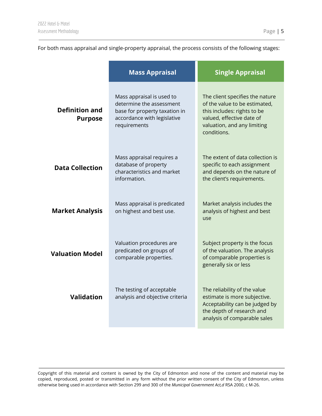#### For both mass appraisal and single-property appraisal, the process consists of the following stages:

|                                         | <b>Mass Appraisal</b>                                                                                                                 | <b>Single Appraisal</b>                                                                                                                                                    |
|-----------------------------------------|---------------------------------------------------------------------------------------------------------------------------------------|----------------------------------------------------------------------------------------------------------------------------------------------------------------------------|
| <b>Definition and</b><br><b>Purpose</b> | Mass appraisal is used to<br>determine the assessment<br>base for property taxation in<br>accordance with legislative<br>requirements | The client specifies the nature<br>of the value to be estimated,<br>this includes: rights to be<br>valued, effective date of<br>valuation, and any limiting<br>conditions. |
| <b>Data Collection</b>                  | Mass appraisal requires a<br>database of property<br>characteristics and market<br>information.                                       | The extent of data collection is<br>specific to each assignment<br>and depends on the nature of<br>the client's requirements.                                              |
| <b>Market Analysis</b>                  | Mass appraisal is predicated<br>on highest and best use.                                                                              | Market analysis includes the<br>analysis of highest and best<br>use                                                                                                        |
| <b>Valuation Model</b>                  | Valuation procedures are<br>predicated on groups of<br>comparable properties.                                                         | Subject property is the focus<br>of the valuation. The analysis<br>of comparable properties is<br>generally six or less                                                    |
| <b>Validation</b>                       | The testing of acceptable<br>analysis and objective criteria                                                                          | The reliability of the value<br>estimate is more subjective.<br>Acceptability can be judged by<br>the depth of research and<br>analysis of comparable sales                |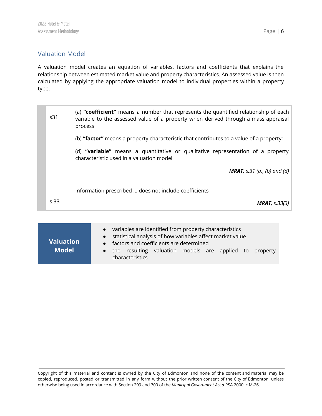## <span id="page-6-0"></span>Valuation Model

A valuation model creates an equation of variables, factors and coefficients that explains the relationship between estimated market value and property characteristics. An assessed value is then calculated by applying the appropriate valuation model to individual properties within a property type.

| s31  | (a) "coefficient" means a number that represents the quantified relationship of each<br>variable to the assessed value of a property when derived through a mass appraisal<br>process |
|------|---------------------------------------------------------------------------------------------------------------------------------------------------------------------------------------|
|      | (b) "factor" means a property characteristic that contributes to a value of a property;                                                                                               |
|      | (d) "variable" means a quantitative or qualitative representation of a property<br>characteristic used in a valuation model                                                           |
|      | <b>MRAT</b> , s.31 (a), (b) and (d)                                                                                                                                                   |
|      | Information prescribed  does not include coefficients                                                                                                                                 |
| s.33 | <b>MRAT</b> , $s.33(3)$                                                                                                                                                               |
|      |                                                                                                                                                                                       |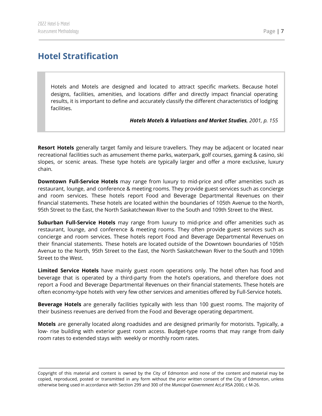# <span id="page-7-0"></span>**Hotel Stratification**

Hotels and Motels are designed and located to attract specific markets. Because hotel designs, facilities, amenities, and locations differ and directly impact financial operating results, it is important to define and accurately classify the different characteristics of lodging facilities.

#### *Hotels Motels & Valuations and Market Studies, 2001, p. 155*

**Resort Hotels** generally target family and leisure travellers. They may be adjacent or located near recreational facilities such as amusement theme parks, waterpark, golf courses, gaming & casino, ski slopes, or scenic areas. These type hotels are typically larger and offer a more exclusive, luxury chain.

**Downtown Full-Service Hotels** may range from luxury to mid-price and offer amenities such as restaurant, lounge, and conference & meeting rooms. They provide guest services such as concierge and room services. These hotels report Food and Beverage Departmental Revenues on their financial statements. These hotels are located within the boundaries of 105th Avenue to the North, 95th Street to the East, the North Saskatchewan River to the South and 109th Street to the West.

**Suburban Full-Service Hotels** may range from luxury to mid-price and offer amenities such as restaurant, lounge, and conference & meeting rooms. They often provide guest services such as concierge and room services. These hotels report Food and Beverage Departmental Revenues on their financial statements. These hotels are located outside of the Downtown boundaries of 105th Avenue to the North, 95th Street to the East, the North Saskatchewan River to the South and 109th Street to the West.

**Limited Service Hotels** have mainly guest room operations only. The hotel often has food and beverage that is operated by a third-party from the hotel's operations, and therefore does not report a Food and Beverage Departmental Revenues on their financial statements. These hotels are often economy-type hotels with very few other services and amenities offered by Full-Service hotels.

**Beverage Hotels** are generally facilities typically with less than 100 guest rooms. The majority of their business revenues are derived from the Food and Beverage operating department.

**Motels** are generally located along roadsides and are designed primarily for motorists. Typically, a low- rise building with exterior guest room access. Budget-type rooms that may range from daily room rates to extended stays with weekly or monthly room rates.

Copyright of this material and content is owned by the City of Edmonton and none of the content and material may be copied, reproduced, posted or transmitted in any form without the prior written consent of the City of Edmonton, unless otherwise being used in accordance with Section 299 and 300 of the *Municipal Government Act,d* RSA 2000, c M-26.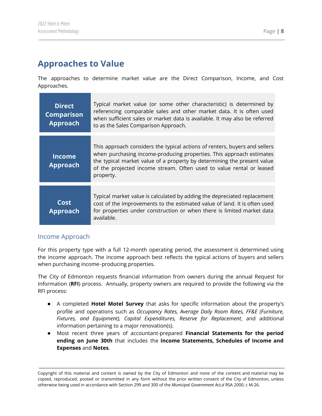# <span id="page-8-0"></span>**Approaches to Value**

The approaches to determine market value are the Direct Comparison, Income, and Cost Approaches.

| <b>Direct</b><br><b>Comparison</b><br>Approach | Typical market value (or some other characteristic) is determined by<br>referencing comparable sales and other market data. It is often used<br>when sufficient sales or market data is available. It may also be referred<br>to as the Sales Comparison Approach.                                                 |
|------------------------------------------------|--------------------------------------------------------------------------------------------------------------------------------------------------------------------------------------------------------------------------------------------------------------------------------------------------------------------|
| <b>Income</b><br><b>Approach</b>               | This approach considers the typical actions of renters, buyers and sellers<br>when purchasing income-producing properties. This approach estimates<br>the typical market value of a property by determining the present value<br>of the projected income stream. Often used to value rental or leased<br>property. |
| Cost<br><b>Approach</b>                        | Typical market value is calculated by adding the depreciated replacement<br>cost of the improvements to the estimated value of land. It is often used<br>for properties under construction or when there is limited market data<br>available.                                                                      |

## <span id="page-8-1"></span>Income Approach

For this property type with a full 12-month operating period, the assessment is determined using the income approach. The income approach best reflects the typical actions of buyers and sellers when purchasing income‐producing properties.

The City of Edmonton requests financial information from owners during the annual Request for Information (**RFI**) process. Annually, property owners are required to provide the following via the RFI process:

- A completed **Hotel Motel Survey** that asks for specific information about the property's profile and operations such as *Occupancy Rates, Average Daily Room Rates, FF&E (Furniture, Fixtures, and Equipment), Capital Expenditures, Reserve for Replacement*, and additional information pertaining to a major renovation(s).
- Most recent three years of accountant-prepared **Financial Statements for the period ending on June 30th** that includes the **Income Statements, Schedules of Income and Expenses** and **Notes**.

Copyright of this material and content is owned by the City of Edmonton and none of the content and material may be copied, reproduced, posted or transmitted in any form without the prior written consent of the City of Edmonton, unless otherwise being used in accordance with Section 299 and 300 of the *Municipal Government Act,d* RSA 2000, c M-26.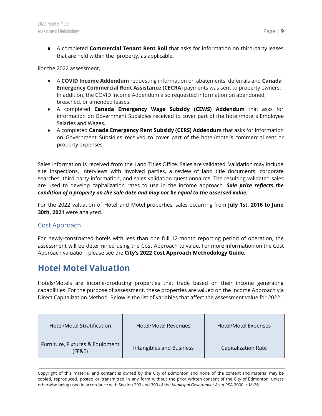● A completed **Commercial Tenant Rent Roll** that asks for information on third-party leases that are held within the property, as applicable.

For the 2022 assessment,

- A **COVID Income Addendum** requesting information on abatements, deferrals and **Canada Emergency Commercial Rent Assistance (CECRA**) payments was sent to property owners. In addition, the COVID Income Addendum also requested information on abandoned, breached, or amended leases.
- A completed **Canada Emergency Wage Subsidy (CEWS) Addendum** that asks for information on Government Subsidies received to cover part of the hotel/motel's Employee Salaries and Wages.
- A completed **Canada Emergency Rent Subsidy (CERS) Addendum** that asks for information on Government Subsidies received to cover part of the hotel/motel's commercial rent or property expenses.

Sales information is received from the Land Titles Office. Sales are validated. Validation may include site inspections, interviews with involved parties, a review of land title documents, corporate searches, third party information, and sales validation questionnaires. The resulting validated sales are used to develop capitalization rates to use in the income approach. *Sale price reflects the condition of a property on the sale date and may not be equal to the assessed value.*

For the 2022 valuation of Hotel and Motel properties, sales occurring from **July 1st, 2016 to June 30th, 2021** were analyzed.

## <span id="page-9-0"></span>Cost Approach

For newly-constructed hotels with less than one full 12-month reporting period of operation, the assessment will be determined using the Cost Approach to value. For more information on the Cost Approach valuation, please see the **City's 2022 Cost Approach Methodology Guide.**

## <span id="page-9-1"></span>**Hotel Motel Valuation**

Hotels/Motels are income-producing properties that trade based on their income generating capabilities. For the purpose of assessment, these properties are valued on the Income Approach via Direct Capitalization Method. Below is the list of variables that affect the assessment value for 2022.

| Hotel/Motel Stratification                | Hotel/Motel Revenues     | Hotel/Motel Expenses       |
|-------------------------------------------|--------------------------|----------------------------|
| Furniture, Fixtures & Equipment<br>(FF&E) | Intangibles and Business | <b>Capitalization Rate</b> |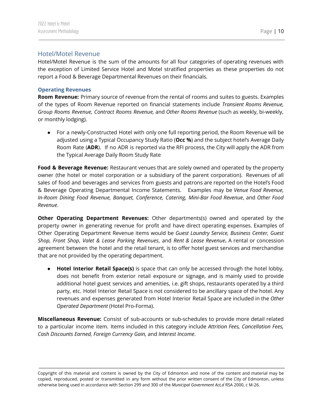## <span id="page-10-0"></span>Hotel/Motel Revenue

Hotel/Motel Revenue is the sum of the amounts for all four categories of operating revenues with the exception of Limited Service Hotel and Motel stratified properties as these properties do not report a Food & Beverage Departmental Revenues on their financials.

#### <span id="page-10-1"></span>**Operating Revenues**

**Room Revenue:** Primary source of revenue from the rental of rooms and suites to guests. Examples of the types of Room Revenue reported on financial statements include *Transient Rooms Revenue, Group Rooms Revenue, Contract Rooms Revenue,* and *Other Rooms Revenue* (such as weekly, bi-weekly, or monthly lodging).

● For a newly-Constructed Hotel with only one full reporting period, the Room Revenue will be adjusted using a Typical Occupancy Study Ratio (**Occ %**) and the subject hotel's Average Daily Room Rate (**ADR**). If no ADR is reported via the RFI process, the City will apply the ADR from the Typical Average Daily Room Study Rate

**Food & Beverage Revenue:** Restaurant venues that are solely owned and operated by the property owner (the hotel or motel corporation or a subsidiary of the parent corporation). Revenues of all sales of food and beverages and services from guests and patrons are reported on the Hotel's Food & Beverage Operating Departmental Income Statements. Examples may be *Venue Food Revenue, In-Room Dining Food Revenue, Banquet, Conference, Catering, Mini-Bar Food Revenue*, and *Other Food Revenue*.

**Other Operating Department Revenues:** Other departments(s) owned and operated by the property owner in generating revenue for profit and have direct operating expenses. Examples of Other Operating Department Revenue items would be *Guest Laundry Service, Business Center, Guest Shop, Front Shop*, *Valet & Lease Parking Revenues*, and *Rent & Lease Revenue***.** A rental or concession agreement between the hotel and the retail tenant, is to offer hotel guest services and merchandise that are not provided by the operating department.

● **Hotel Interior Retail Space(s)** is space that can only be accessed through the hotel lobby, does not benefit from exterior retail exposure or signage, and is mainly used to provide additional hotel guest services and amenities, i.e. gift shops, restaurants operated by a third party, etc. Hotel Interior Retail Space is not considered to be ancillary space of the hotel. Any revenues and expenses generated from Hotel Interior Retail Space are included in the *Other Operated Department* (Hotel Pro-Forma).

**Miscellaneous Revenue:** Consist of sub-accounts or sub-schedules to provide more detail related to a particular income item. Items included in this category include *Attrition Fees, Cancellation Fees, Cash Discounts Earned, Foreign Currency Gain,* and *Interest Income*.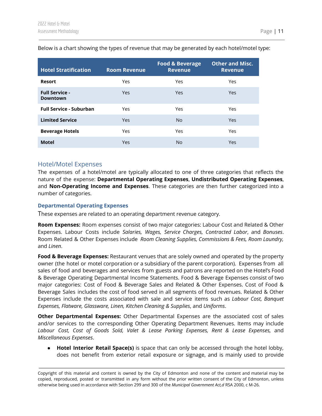| <b>Hotel Stratification</b>              | <b>Room Revenue</b> | <b>Food &amp; Beverage</b><br><b>Revenue</b> | <b>Other and Misc.</b><br><b>Revenue</b> |
|------------------------------------------|---------------------|----------------------------------------------|------------------------------------------|
| <b>Resort</b>                            | Yes                 | Yes                                          | Yes                                      |
| <b>Full Service -</b><br><b>Downtown</b> | Yes                 | Yes                                          | Yes                                      |
| <b>Full Service - Suburban</b>           | Yes                 | Yes                                          | Yes                                      |
| <b>Limited Service</b>                   | Yes                 | No.                                          | Yes                                      |
| <b>Beverage Hotels</b>                   | Yes                 | Yes                                          | Yes                                      |
| <b>Motel</b>                             | Yes                 | No                                           | Yes                                      |

#### Below is a chart showing the types of revenue that may be generated by each hotel/motel type:

#### <span id="page-11-0"></span>Hotel/Motel Expenses

The expenses of a hotel/motel are typically allocated to one of three categories that reflects the nature of the expense: **Departmental Operating Expenses**, **Undistributed Operating Expenses**, and **Non-Operating Income and Expenses**. These categories are then further categorized into a number of categories.

#### <span id="page-11-1"></span>**Departmental Operating Expenses**

These expenses are related to an operating department revenue category.

**Room Expenses:** Room expenses consist of two major categories: Labour Cost and Related & Other Expenses. Labour Costs include *Salaries, Wages, Service Charges, Contracted Labor*, and *Bonuses*. Room Related & Other Expenses include *Room Cleaning Supplies, Commissions & Fees, Room Laundry,* and *Linen*.

**Food & Beverage Expenses:** Restaurant venues that are solely owned and operated by the property owner (the hotel or motel corporation or a subsidiary of the parent corporation). Expenses from all sales of food and beverages and services from guests and patrons are reported on the Hotel's Food & Beverage Operating Departmental Income Statements. Food & Beverage Expenses consist of two major categories: Cost of Food & Beverage Sales and Related & Other Expenses. Cost of Food & Beverage Sales includes the cost of food served in all segments of food revenues. Related & Other Expenses include the costs associated with sale and service items such as *Labour Cost, Banquet Expenses, Flatware, Glassware, Linen, Kitchen Cleaning & Supplies*, and *Uniforms*.

**Other Departmental Expenses:** Other Departmental Expenses are the associated cost of sales and/or services to the corresponding Other Operating Department Revenues. Items may include *Labour Cost, Cost of Goods Sold, Valet & Lease Parking Expenses, Rent & Lease Expenses,* and *Miscellaneous Expenses*.

● **Hotel Interior Retail Space(s)** is space that can only be accessed through the hotel lobby, does not benefit from exterior retail exposure or signage, and is mainly used to provide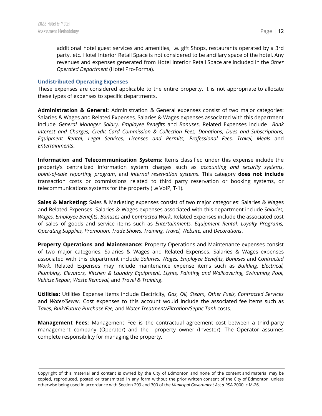additional hotel guest services and amenities, i.e. gift Shops, restaurants operated by a 3rd party, etc. Hotel Interior Retail Space is not considered to be ancillary space of the hotel. Any revenues and expenses generated from Hotel interior Retail Space are included in the *Other Operated Department* (Hotel Pro-Forma).

#### <span id="page-12-0"></span>**Undistributed Operating Expenses**

These expenses are considered applicable to the entire property. It is not appropriate to allocate these types of expenses to specific departments.

**Administration & General:** Administration & General expenses consist of two major categories: Salaries & Wages and Related Expenses. Salaries & Wages expenses associated with this department include *General Manager Salary, Employee Benefits* and *Bonuses*. Related Expenses include *Bank Interest and Charges, Credit Card Commission & Collection Fees, Donations, Dues and Subscriptions, Equipment Rental, Legal Services, Licenses and Permits, Professional Fees, Travel, Meals* and *Entertainments*.

**Information and Telecommunication Systems:** Items classified under this expense include the property's centralized information system charges such as *accounting and security systems*, *point-of-sale reporting program*, and *internal reservation systems*. This category **does not include** transaction costs or commissions related to third party reservation or booking systems, or telecommunications systems for the property (i.e VoIP, T-1).

**Sales & Marketing:** Sales & Marketing expenses consist of two major categories: Salaries & Wages and Related Expenses. Salaries & Wages expenses associated with this department include *Salaries, Wages, Employee Benefits*, *Bonuses* and *Contracted Work*. Related Expenses include the associated cost of sales of goods and service items such as *Entertainments, Equipment Rental, Loyalty Programs, Operating Supplies, Promotion, Trade Shows, Training, Travel, Website,* and *Decorations*.

**Property Operations and Maintenance:** Property Operations and Maintenance expenses consist of two major categories: Salaries & Wages and Related Expenses. Salaries & Wages expenses associated with this department include *Salaries, Wages, Employee Benefits, Bonuses* and *Contracted Work.* Related Expenses may include maintenance expense items such as *Building, Electrical, Plumbing, Elevators, Kitchen & Laundry Equipment, Lights, Painting and Wallcovering, Swimming Pool, Vehicle Repair, Waste Removal,* and *Travel & Training*.

**Utilities:** Utilities Expense items include Electricity*, Gas, Oil, Steam, Other Fuels, Contracted Services* and *Water/Sewer.* Cost expenses to this account would include the associated fee items such as T*axes, Bulk/Future Purchase Fee,* and *Water Treatment/Filtration/Septic Tank* costs.

**Management Fees:** Management Fee is the contractual agreement cost between a third-party management company (Operator) and the property owner (Investor). The Operator assumes complete responsibility for managing the property.

Copyright of this material and content is owned by the City of Edmonton and none of the content and material may be copied, reproduced, posted or transmitted in any form without the prior written consent of the City of Edmonton, unless otherwise being used in accordance with Section 299 and 300 of the *Municipal Government Act,d* RSA 2000, c M-26.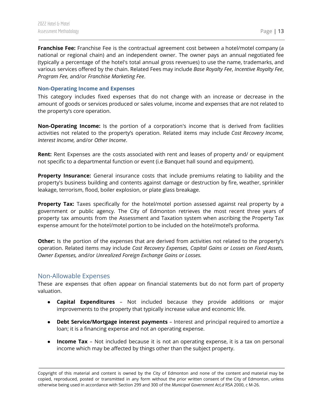**Franchise Fee:** Franchise Fee is the contractual agreement cost between a hotel/motel company (a national or regional chain) and an independent owner. The owner pays an annual negotiated fee (typically a percentage of the hotel's total annual gross revenues) to use the name, trademarks, and various services offered by the chain. Related Fees may include *Base Royalty Fee*, *Incentive Royalty Fee*, *Program Fee,* and/or *Franchise Marketing Fee*.

#### <span id="page-13-0"></span>**Non-Operating Income and Expenses**

This category includes fixed expenses that do not change with an increase or decrease in the amount of goods or services produced or sales volume, income and expenses that are not related to the property's core operation.

**Non-Operating Income:** Is the portion of a corporation's [income](https://www.investopedia.com/terms/i/income.asp) that is derived from facilities activities not related to the property's operation. Related items may include *Cost Recovery Income, Interest Income,* and/or *Other Income*.

**Rent:** Rent Expenses are the costs associated with rent and leases of property and/ or equipment not specific to a departmental function or event (i.e Banquet hall sound and equipment).

**Property Insurance:** General insurance costs that include premiums relating to liability and the property's business building and contents against damage or destruction by fire, weather, sprinkler leakage, terrorism, flood, boiler explosion, or plate glass breakage.

**Property Tax:** Taxes specifically for the hotel/motel portion assessed against real property by a government or public agency. The City of Edmonton retrieves the most recent three years of property tax amounts from the Assessment and Taxation system when ascribing the Property Tax expense amount for the hotel/motel portion to be included on the hotel/motel's proforma.

**Other:** Is the portion of the expenses that are derived from activities not related to the property's operation. Related items may include *Cost Recovery Expenses, Capital Gains or Losses on Fixed Assets, Owner Expenses,* and/or *Unrealized Foreign Exchange Gains or Losses.*

#### <span id="page-13-1"></span>Non-Allowable Expenses

These are expenses that often appear on financial statements but do not form part of property valuation.

- **Capital Expenditures** Not included because they provide additions or major improvements to the property that typically increase value and economic life.
- **Debt Service/Mortgage interest payments** Interest and principal required to amortize a loan; it is a financing expense and not an operating expense.
- **Income Tax** Not included because it is not an operating expense, it is a tax on personal income which may be affected by things other than the subject property.

Copyright of this material and content is owned by the City of Edmonton and none of the content and material may be copied, reproduced, posted or transmitted in any form without the prior written consent of the City of Edmonton, unless otherwise being used in accordance with Section 299 and 300 of the *Municipal Government Act,d* RSA 2000, c M-26.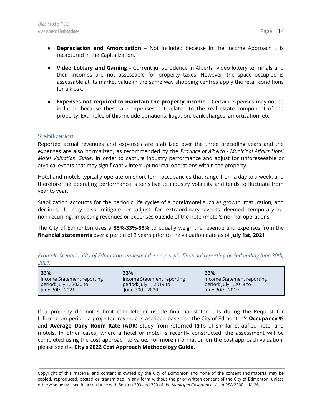- **Depreciation and Amortization** Not included because in the Income Approach it is recaptured in the Capitalization.
- **Video Lottery and Gaming** Current jurisprudence in Alberta, video lottery terminals and their incomes are not assessable for property taxes. However, the space occupied is assessable at its market value in the same way shopping centres apply the retail conditions for a kiosk.
- **Expenses not required to maintain the property income** Certain expenses may not be included because these are expenses not related to the real estate component of the property. Examples of this include donations, litigation, bank charges, amortization, etc.

## <span id="page-14-0"></span>Stabilization

Reported actual revenues and expenses are stabilized over the three preceding years and the expenses are also normalized, as recommended by the *Province of Alberta - Municipal Affairs Hotel Motel Valuation Guide*, in order to capture industry performance and adjust for unforeseeable or atypical events that may significantly interrupt normal operations within the property.

Hotel and motels typically operate on short-term occupancies that range from a day to a week, and therefore the operating performance is sensitive to industry volatility and tends to fluctuate from year to year.

Stabilization accounts for the periodic life cycles of a hotel/motel such as growth, maturation, and declines. It may also mitigate or adjust for extraordinary events deemed temporary or non-recurring, impacting revenues or expenses outside of the hotel/motel's normal operations.

The City of Edmonton uses a **33%-33%-33%** to equally weigh the revenue and expenses from the **financial statements** over a period of 3 years prior to the valuation date as of **July 1st, 2021** .

| 33%                                                                      | 33%                                                                      | 33%                                                                     |  |  |
|--------------------------------------------------------------------------|--------------------------------------------------------------------------|-------------------------------------------------------------------------|--|--|
| Income Statement reporting<br>period: July 1, 2020 to<br>June 30th, 2021 | Income Statement reporting<br>period: July 1, 2019 to<br>June 30th, 2020 | Income Statement reporting<br>period: July 1,2018 to<br>June 30th, 2019 |  |  |

*Example Scenario: City of Edmonton requested the property's financial reporting period ending June 30th, 2021.*

If a property did not submit complete or usable financial statements during the Request for Information period, a projected revenue is ascribed based on the City of Edmonton's **Occupancy %** and **Average Daily Room Rate (ADR)** study from returned RFI's of similar stratified hotel and motels. In other cases, where a hotel or motel is recently constructed, the assessment will be completed using the cost approach to value. For more information on the cost approach valuation, please see the **City's 2022 Cost Approach Methodology Guide.**

Copyright of this material and content is owned by the City of Edmonton and none of the content and material may be copied, reproduced, posted or transmitted in any form without the prior written consent of the City of Edmonton, unless otherwise being used in accordance with Section 299 and 300 of the *Municipal Government Act,d* RSA 2000, c M-26.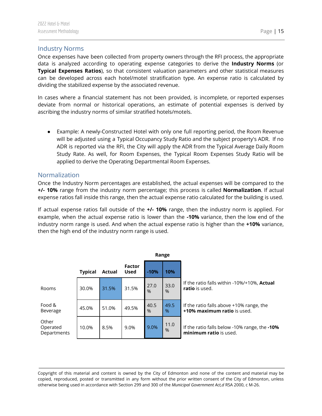#### <span id="page-15-0"></span>Industry Norms

Once expenses have been collected from property owners through the RFI process, the appropriate data is analyzed according to operating expense categories to derive the **Industry Norms** (or **Typical Expenses Ratios**), so that consistent valuation parameters and other statistical measures can be developed across each hotel/motel stratification type. An expense ratio is calculated by dividing the stabilized expense by the associated revenue.

In cases where a financial statement has not been provided, is incomplete, or reported expenses deviate from normal or historical operations, an estimate of potential expenses is derived by ascribing the industry norms of similar stratified hotels/motels.

● Example: A newly-Constructed Hotel with only one full reporting period, the Room Revenue will be adjusted using a Typical Occupancy Study Ratio and the subject property's ADR. If no ADR is reported via the RFI, the City will apply the ADR from the Typical Average Daily Room Study Rate. As well, for Room Expenses, the Typical Room Expenses Study Ratio will be applied to derive the Operating Departmental Room Expenses.

## <span id="page-15-1"></span>Normalization

Once the Industry Norm percentages are established, the actual expenses will be compared to the **+/- 10%** range from the industry norm percentage; this process is called **Normalization**. If actual expense ratios fall inside this range, then the actual expense ratio calculated for the building is used.

If actual expense ratios fall outside of the **+/- 10%** range, then the industry norm is applied. For example, when the actual expense ratio is lower than the **-10%** variance, then the low end of the industry norm range is used. And when the actual expense ratio is higher than the **+10%** variance, then the high end of the industry norm range is used.

|                                  | Range          |               |                              |                       |                       |                                                                         |
|----------------------------------|----------------|---------------|------------------------------|-----------------------|-----------------------|-------------------------------------------------------------------------|
|                                  | <b>Typical</b> | <b>Actual</b> | <b>Factor</b><br><b>Used</b> | $-10%$                | 10%                   |                                                                         |
| Rooms                            | 30.0%          | 31.5%         | 31.5%                        | 27.0<br>$\frac{0}{0}$ | 33.0<br>$\frac{0}{0}$ | If the ratio falls within -10%/+10%, Actual<br><b>ratio</b> is used.    |
| Food &<br>Beverage               | 45.0%          | 51.0%         | 49.5%                        | 40.5<br>$\frac{0}{0}$ | 49.5<br>$\frac{0}{0}$ | If the ratio falls above +10% range, the<br>+10% maximum ratio is used. |
| Other<br>Operated<br>Departments | 10.0%          | 8.5%          | 9.0%                         | 9.0%                  | 11.0<br>$\frac{0}{0}$ | If the ratio falls below -10% range, the -10%<br>minimum ratio is used. |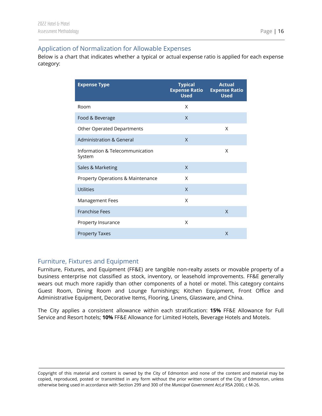## <span id="page-16-0"></span>Application of Normalization for Allowable Expenses

Below is a chart that indicates whether a typical or actual expense ratio is applied for each expense category:

| <b>Expense Type</b>                       | <b>Typical</b><br><b>Expense Ratio</b><br><b>Used</b> | <b>Actual</b><br><b>Expense Ratio</b><br><b>Used</b> |
|-------------------------------------------|-------------------------------------------------------|------------------------------------------------------|
| Room                                      | X                                                     |                                                      |
| Food & Beverage                           | X                                                     |                                                      |
| Other Operated Departments                |                                                       | X                                                    |
| <b>Administration &amp; General</b>       | X                                                     |                                                      |
| Information & Telecommunication<br>System |                                                       | Χ                                                    |
| Sales & Marketing                         | X                                                     |                                                      |
| Property Operations & Maintenance         | X                                                     |                                                      |
| Utilities                                 | $\times$                                              |                                                      |
| Management Fees                           | X                                                     |                                                      |
| <b>Franchise Fees</b>                     |                                                       | $\times$                                             |
| Property Insurance                        | X                                                     |                                                      |
| <b>Property Taxes</b>                     |                                                       | X                                                    |

## <span id="page-16-1"></span>Furniture, Fixtures and Equipment

Furniture, Fixtures, and Equipment (FF&E) are tangible non-realty assets or movable property of a business enterprise not classified as stock, inventory, or leasehold improvements. FF&E generally wears out much more rapidly than other components of a hotel or motel. This category contains Guest Room, Dining Room and Lounge furnishings; Kitchen Equipment, Front Office and Administrative Equipment, Decorative Items, Flooring, Linens, Glassware, and China.

The City applies a consistent allowance within each stratification: **15%** FF&E Allowance for Full Service and Resort hotels; **10%** FF&E Allowance for Limited Hotels, Beverage Hotels and Motels.

Copyright of this material and content is owned by the City of Edmonton and none of the content and material may be copied, reproduced, posted or transmitted in any form without the prior written consent of the City of Edmonton, unless otherwise being used in accordance with Section 299 and 300 of the *Municipal Government Act,d* RSA 2000, c M-26.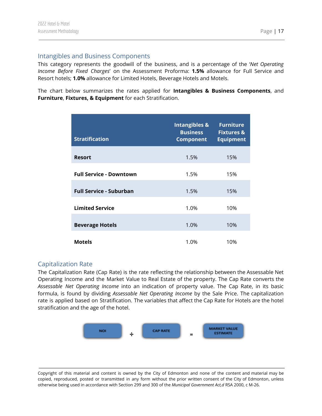## <span id="page-17-0"></span>Intangibles and Business Components

This category represents the goodwill of the business, and is a percentage of the '*Net Operating Income Before Fixed Charges*' on the Assessment Proforma: **1.5%** allowance for Full Service and Resort hotels; **1.0%** allowance for Limited Hotels, Beverage Hotels and Motels.

The chart below summarizes the rates applied for **Intangibles & Business Components**, and **Furniture**, **Fixtures, & Equipment** for each Stratification.

| <b>Stratification</b>          | <b>Intangibles &amp;</b><br><b>Business</b><br><b>Component</b> | <b>Furniture</b><br><b>Fixtures &amp;</b><br><b>Equipment</b> |
|--------------------------------|-----------------------------------------------------------------|---------------------------------------------------------------|
| <b>Resort</b>                  | 1.5%                                                            | 15%                                                           |
| <b>Full Service - Downtown</b> | 1.5%                                                            | 15%                                                           |
| <b>Full Service - Suburban</b> | 1.5%                                                            | 15%                                                           |
| <b>Limited Service</b>         | 1.0%                                                            | 10%                                                           |
| <b>Beverage Hotels</b>         | 1.0%                                                            | 10%                                                           |
| <b>Motels</b>                  | 1.0%                                                            | 10%                                                           |

## <span id="page-17-1"></span>Capitalization Rate

The Capitalization Rate (Cap Rate) is the rate reflecting the relationship between the Assessable Net Operating Income and the Market Value to Real Estate of the property. The Cap Rate converts the *Assessable Net Operating Income* into an indication of property value. The Cap Rate, in its basic formula, is found by dividing *Assessable Net Operating Income* by the Sale Price. The capitalization rate is applied based on Stratification. The variables that affect the Cap Rate for Hotels are the hotel stratification and the age of the hotel.

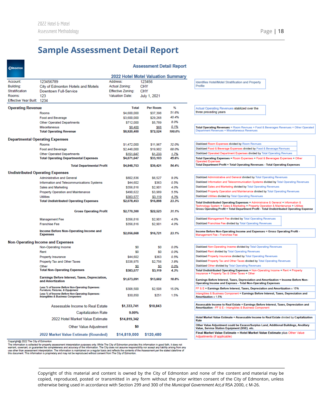Operated

# <span id="page-18-0"></span>**Sample Assessment Detail Report**

#### **Assessment Detail Report**

|                            |                                                                                     | <b>2022 Hotel Motel Valuation Summary</b> |                 |        |                                                                                                                                                                                                                                                                      |
|----------------------------|-------------------------------------------------------------------------------------|-------------------------------------------|-----------------|--------|----------------------------------------------------------------------------------------------------------------------------------------------------------------------------------------------------------------------------------------------------------------------|
| Account:                   | 123456789                                                                           | Address:                                  | 123456          |        | Identifies Hotel/Motel Stratification and Property                                                                                                                                                                                                                   |
| Building:                  | City of Edmonton Hotels and Motels                                                  | Actual Zoning:                            | <b>CHY</b>      |        | Profile                                                                                                                                                                                                                                                              |
| Stratification             | <b>Downtown Full-Service</b>                                                        | <b>Effective Zoning:</b>                  | <b>CHY</b>      |        |                                                                                                                                                                                                                                                                      |
| Rooms:                     | 123                                                                                 | <b>Valuation Date:</b>                    | July 1, 2021    |        |                                                                                                                                                                                                                                                                      |
| Effective Year Built: 1234 |                                                                                     |                                           |                 |        |                                                                                                                                                                                                                                                                      |
| <b>Operating Revenue</b>   |                                                                                     | Total                                     | <b>Per Room</b> | %      | Actual Operating Revenues stablized over the                                                                                                                                                                                                                         |
|                            | Rooms                                                                               | \$4,600,000                               | \$37,398        | 51.6%  | three preceding years                                                                                                                                                                                                                                                |
|                            | <b>Food and Beverage</b>                                                            | \$3,600,000                               | \$29,268        | 40.4%  |                                                                                                                                                                                                                                                                      |
|                            | Other Operated Departments                                                          | \$712,000                                 | \$5,789         | 8.0%   |                                                                                                                                                                                                                                                                      |
|                            | Miscellaneous                                                                       | \$8,400                                   | \$68            | 0.1%   | Total Operating Revenues = Room Revnues + Food & Beverages Revenues + Other Operate                                                                                                                                                                                  |
|                            | <b>Total Operating Revenue</b>                                                      | \$8,920,400                               | \$72,524        | 100.0% | Department Revenues + Miscellaneous Revenues                                                                                                                                                                                                                         |
|                            | <b>Departmental Operating Expenses</b>                                              |                                           |                 |        |                                                                                                                                                                                                                                                                      |
|                            | Rooms                                                                               | \$1,472,000                               | \$11,967        | 32.0%  | Stablized Room Expenses divided by Room Revnues                                                                                                                                                                                                                      |
|                            | <b>Food and Beverage</b>                                                            | \$2,448,000                               | \$19,902        | 68.0%  | Stablized Food & Beverage Expenses divided by Food & Beverage Revnues                                                                                                                                                                                                |
|                            | <b>Other Operated Departments</b>                                                   | \$151,647                                 | \$1,233         | 1.7%   | Stablized Operated Department Expenses divided by Total Operating Revnues                                                                                                                                                                                            |
|                            | <b>Total Operating Departmental Expenses</b>                                        | \$4,071,647                               | \$33,103        | 45.6%  | Total Operating Expenses = Room Expenses + Food & Beverages Expenses + Other<br><b>Operated Expenses</b>                                                                                                                                                             |
|                            | <b>Total Departmental Profit</b>                                                    | \$4,848,753                               | \$39,421        | 54.4%  | Total Department Profit = Total Operating Revenues - Total Operating Expenses                                                                                                                                                                                        |
|                            | <b>Undistributed Operating Expenses</b>                                             |                                           |                 |        |                                                                                                                                                                                                                                                                      |
|                            | Administrative and General                                                          | \$802,836                                 | \$6,527         | 9.0%   | Stablized Administrative and General divided by Total Operating Revenues                                                                                                                                                                                             |
|                            | Information and Telecommunications Systems                                          | \$44,602                                  | \$363           | 0.5%   | Stablized Information and Telecommunication Systems divided by Total Operating Revenues                                                                                                                                                                              |
|                            | Sales and Marketing                                                                 | \$356,816                                 | \$2,901         | 4.0%   | Stablized Sales and Marketing divided by Total Operating Revenues                                                                                                                                                                                                    |
|                            | Property Operation and Maintenance                                                  | \$490,622                                 | \$3,989         | 5.5%   | Stablized Property Operation and Maintenance divided by Total Operating Revenues                                                                                                                                                                                     |
|                            | <b>Utilities</b>                                                                    | \$383,577                                 | \$3,119         | 4.3%   | Stablized Utilities divided by Total Operating Revenues                                                                                                                                                                                                              |
|                            | <b>Total Undistributed Operating Expenses</b>                                       | \$2,078,453                               | \$16,898        | 23.3%  |                                                                                                                                                                                                                                                                      |
|                            | <b>Gross Operating Profit</b>                                                       | \$2,770,300                               | \$22,523        | 31.1%  | Total Undistributed Operating Expenses = Administraive & General + Information &<br>Technology System + Sales & Marketing + Property Operation & Maintenance + Utilities<br>Gross Operating Profit = Total Department Profit - Total Undistributed Operating Expense |
|                            |                                                                                     |                                           |                 |        |                                                                                                                                                                                                                                                                      |
|                            | <b>Management Fee</b>                                                               | \$356,816                                 | \$2,901         | 4.0%   | Stablized Management Fee divided by Total Operating Revenues                                                                                                                                                                                                         |
|                            | <b>Franchise Fee</b>                                                                | \$356,816                                 | \$2,901         | 4.0%   | Stablized Franchise Fee divided by Total Operating Revenues                                                                                                                                                                                                          |
|                            | Income Before Non-Operating Income and<br><b>Expenses</b>                           | \$2,056,668                               | \$16,721        | 23.1%  | Income Before Non-Operating Income and Expenses = Gross Operating Profit -<br>Management Fee - Franchise Fee                                                                                                                                                         |
|                            | <b>Non-Operating Income and Expenses</b>                                            |                                           |                 |        |                                                                                                                                                                                                                                                                      |
|                            | Non-Operating Income                                                                | S <sub>0</sub>                            | \$0             | 0.0%   | Stablized Non-Operating Income divided by Total Operating Revenues                                                                                                                                                                                                   |
|                            | Rent                                                                                | S <sub>0</sub>                            | \$0             | 0.0%   | Stablized Rent divided by Total Operating Revenues                                                                                                                                                                                                                   |
|                            | <b>Property Insurance</b>                                                           | \$44,602                                  | \$363           | 0.5%   | Stablized Property Insurance divided by Total Operating Revenues                                                                                                                                                                                                     |
|                            | Property Tax and Other Taxes                                                        | \$338,975                                 | \$2,756         | 3.8%   | Stablized Property Tax and Other Taxes divided by Total Operating Revenues                                                                                                                                                                                           |
|                            | Other                                                                               | SQ.                                       | \$0             | 0.0%   | Stablized Other divided by Total Operating Revenues                                                                                                                                                                                                                  |
|                            | <b>Total Non-Operating Expenses</b>                                                 | \$383,577                                 | \$3,119         | 4.3%   | Total Undistributed Operating Expenses = Non-Operating Income + Rent + Property                                                                                                                                                                                      |
|                            | Earnings Before Interest, Taxes, Depreciation,<br>and Amortization                  | \$1,673,091                               | \$13,602        | 18.8%  | Insurance + Property Tax & Other Taxes + Other<br>Earnings Before Interest, Taxes, Depreciation and Amortization = Income Before Non-                                                                                                                                |
|                            | Less % of Income Before Non-Operating Expenses:                                     |                                           |                 |        | Operating Income and Expnses - Total Non-Operating Expenses<br>$FF 8. E =$ Earnings Before Interest, Taxes, Depreciation and Amortization $x 15\%$                                                                                                                   |
|                            | Furniture, Fixtures, & Equipment<br>Less % of Income Before Non-Operating Expenses: | \$308,500                                 | \$2,508         | 15.0%  | Intangibles & Business Component = Earnings Before Interest, Taxes, Depreciation and                                                                                                                                                                                 |
|                            | <b>Intangibles &amp; Business Component</b>                                         | \$30,850                                  | \$251           | 1.5%   | Amortization x 1.5%                                                                                                                                                                                                                                                  |
|                            | Assessable Income to Real Estate                                                    | \$1,333,741                               | \$10,843        |        | Assessable Income to Real Estate = Earnings Before Interest, Taxes, Depreciation and<br>Amortization - FF & E - Intangibles & Business Component                                                                                                                     |
|                            | <b>Capitalization Rate</b>                                                          | 9.00%                                     |                 |        |                                                                                                                                                                                                                                                                      |
|                            | 2022 Hotel Market Value Estimate                                                    | \$14,819,342                              |                 |        | Hotel Market Value Estimate = Assessable Income to Real Estate divided by Capitalization<br>Rate                                                                                                                                                                     |
|                            | <b>Other Value Adjustment</b>                                                       | \$0                                       |                 |        | Other Value Adjustment could be Excess/Surplus Land, Additional Buildings, Ancillary<br>Value, Service Station Equipment (SSE). etc.                                                                                                                                 |
|                            | 2022 Market Value Estimate (Rounded)                                                | \$14,819,000                              | \$120,480       |        | Final Market Value Estimate = Hotel Market Value Estimate plus Other Value<br>Adjustments (if applicable)                                                                                                                                                            |
|                            |                                                                                     |                                           |                 |        |                                                                                                                                                                                                                                                                      |

Copyright@ 2022 The City of Edmonton

Only represent the curve of the monotonical interpretation purposes only. While The City of Edmonton provides this information in good faith, it does not warrant, coverant, correct the property assessment interpretation pu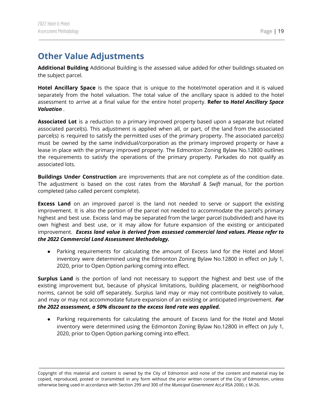# <span id="page-19-0"></span>**Other Value Adjustments**

**Additional Building** Additional Building is the assessed value added for other buildings situated on the subject parcel.

**Hotel Ancillary Space** is the space that is unique to the hotel/motel operation and it is valued separately from the hotel valuation. The total value of the ancillary space is added to the hotel assessment to arrive at a final value for the entire hotel property. **Refer to** *Hotel Ancillary Space Valuation* .

**Associated Lot** is a reduction to a primary improved property based upon a separate but related associated parcel(s). This adjustment is applied when all, or part, of the land from the associated parcel(s) is required to satisfy the permitted uses of the primary property. The associated parcel(s) must be owned by the same individual/corporation as the primary improved property or have a lease in place with the primary improved property. The Edmonton Zoning Bylaw No.12800 outlines the requirements to satisfy the operations of the primary property. Parkades do not qualify as associated lots.

**Buildings Under Construction** are improvements that are not complete as of the condition date. The adjustment is based on the cost rates from the *Marshall & Swift* manual, for the portion completed (also called percent complete).

**Excess Land** on an improved parcel is the land not needed to serve or support the existing improvement. It is also the portion of the parcel not needed to accommodate the parcel's primary highest and best use. Excess land may be separated from the larger parcel (subdivided) and have its own highest and best use, or it may allow for future expansion of the existing or anticipated improvement. *Excess land value is derived from assessed commercial land values. Please refer to the 2022 Commercial Land Assessment Methodology.*

● Parking requirements for calculating the amount of Excess land for the Hotel and Motel inventory were determined using the Edmonton Zoning Bylaw No.12800 in effect on July 1, 2020, prior to Open Option parking coming into effect.

**Surplus Land** is the portion of land not necessary to support the highest and best use of the existing improvement but, because of physical limitations, building placement, or neighborhood norms, cannot be sold off separately. Surplus land may or may not contribute positively to value, and may or may not accommodate future expansion of an existing or anticipated improvement. *For the 2022 assessment, a 50% discount to the excess land rate was applied.*

● Parking requirements for calculating the amount of Excess land for the Hotel and Motel inventory were determined using the Edmonton Zoning Bylaw No.12800 in effect on July 1, 2020, prior to Open Option parking coming into effect.

Copyright of this material and content is owned by the City of Edmonton and none of the content and material may be copied, reproduced, posted or transmitted in any form without the prior written consent of the City of Edmonton, unless otherwise being used in accordance with Section 299 and 300 of the *Municipal Government Act,d* RSA 2000, c M-26.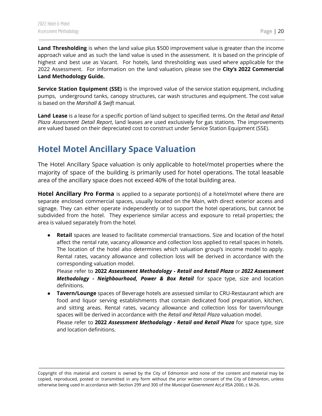**Land Thresholding** is when the land value plus \$500 improvement value is greater than the income approach value and as such the land value is used in the assessment. It is based on the principle of highest and best use as Vacant. For hotels, land thresholding was used where applicable for the 2022 Assessment. For information on the land valuation, please see the **City's 2022 Commercial Land Methodology Guide.**

**Service Station Equipment (SSE)** is the improved value of the service station equipment, including pumps, underground tanks, canopy structures, car wash structures and equipment. The cost value is based on the *Marshall & Swift* manual*.*

**Land Lease** is a lease for a specific portion of land subject to specified terms. On the *Retail and Retail Plaza Assessment Detail Report*, land leases are used exclusively for gas stations. The improvements are valued based on their depreciated cost to construct under Service Station Equipment (SSE).

# <span id="page-20-0"></span>**Hotel Motel Ancillary Space Valuation**

The Hotel Ancillary Space valuation is only applicable to hotel/motel properties where the majority of space of the building is primarily used for hotel operations. The total leasable area of the ancillary space does not exceed 40% of the total building area.

**Hotel Ancillary Pro Forma** is applied to a separate portion(s) of a hotel/motel where there are separate enclosed commercial spaces, usually located on the Main, with direct exterior access and signage. They can either operate independently or to support the hotel operations, but cannot be subdivided from the hotel. They experience similar access and exposure to retail properties; the area is valued separately from the hotel.

● **Retail** spaces are leased to facilitate commercial transactions. Size and location of the hotel affect the rental rate, vacancy allowance and collection loss applied to retail spaces in hotels. The location of the hotel also determines which valuation group's income model to apply. Rental rates, vacancy allowance and collection loss will be derived in accordance with the corresponding valuation model.

Please refer to **2022** *Assessment Methodology - Retail and Retail Plaza* or *2022 Assessment Methodology - Neighbourhood, Power & Box Retail* for space type, size and location definitions.

**● Tavern/Lounge** spaces of Beverage hotels are assessed similar to CRU-Restaurant which are food and liquor serving establishments that contain dedicated food preparation, kitchen, and sitting areas. Rental rates, vacancy allowance and collection loss for tavern/lounge spaces will be derived in accordance with the *Retail and Retail Plaza* valuation model. Please refer to **2022** *Assessment Methodology - Retail and Retail Plaza* for space type, size

and location definitions.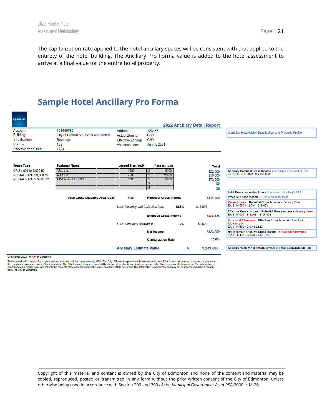The capitalization rate applied to the hotel ancillary spaces will be consistent with that applied to the entirety of the hotel building. The Ancillary Pro Forma value is added to the hotel assessment to arrive at a final value for the entire hotel property.

# <span id="page-21-0"></span>**Sample Hotel Ancillary Pro Forma**

| <b>Edmonton</b>                     |                                    |                                       |                            |       |              |                                                                                                                        |
|-------------------------------------|------------------------------------|---------------------------------------|----------------------------|-------|--------------|------------------------------------------------------------------------------------------------------------------------|
|                                     |                                    | <b>2022 Ancillary Detail Report</b>   |                            |       |              |                                                                                                                        |
| Account:                            | 123456789                          | Address:                              | 123456                     |       |              | <b>Identifies Hotel/Motel Stratification and Property Profile</b>                                                      |
| Building:                           | City of Edmonton Hotels and Motels | <b>Actual Zoning:</b>                 | <b>CHY</b>                 |       |              |                                                                                                                        |
| <b>Stratification</b>               | Beverage                           | <b>Effective Zoning:</b>              | <b>CHY</b>                 |       |              |                                                                                                                        |
| Rooms:                              | 123                                | <b>Valuation Date:</b>                | July 1, 2021               |       |              |                                                                                                                        |
| <b>Effective Year Built:</b>        | 1234                               |                                       |                            |       |              |                                                                                                                        |
|                                     |                                    |                                       |                            |       |              |                                                                                                                        |
| <b>Space Type</b>                   | <b>Business Name</b>               | Leased Size (sq.ft)                   | Rate (\$/sq.ft)            |       | <b>Total</b> |                                                                                                                        |
| CRU 1,001 to 3,000 ft2              | <b>ABC Ltd.</b>                    | 1500                                  | 15.00<br>\$                |       | \$22,500     | <b>Ancillary Potential Gross Income = Ancillary GLA x Market Rent</b>                                                  |
| RESTAURANT≤ 3,000 ft2               | <b>ABC Ltd.</b>                    | 2500                                  | 20.00<br>\$                |       | \$50,000     | Ex: 2,500 sq.ft x $$20.00 = $50,000$                                                                                   |
| RESTAURANT ≥ 3,001 ft2              | <b>TAVERN &amp; LOUNGE</b>         | 4000                                  | 18.00<br>S                 |       | \$72,000     |                                                                                                                        |
|                                     |                                    |                                       | \$<br>۰<br>\$              |       | \$0          |                                                                                                                        |
|                                     |                                    |                                       | ٠                          |       | \$0          |                                                                                                                        |
|                                     |                                    |                                       |                            |       |              | Total Gross Leaseable Area = Sum of each Ancillary's GLA                                                               |
|                                     | Total Gross Leasable Area (sq.ft)  | 8000<br><b>Potential Gross Income</b> |                            |       | \$144,500    | <b>Potential Gross Income = Sum of Ancillary PGIs</b>                                                                  |
|                                     |                                    | Less: Vacancy and Collection Loss     |                            | 12.5% | \$18,063     | Vacancy Loss = Potential Gross Income x Vacancy Rate<br>Ex: $$144.500 \times 12.5\% = $18.063$                         |
|                                     |                                    |                                       |                            |       |              | <b>Effective Gross Income = Potential Gross Income - Vacancy Loss</b>                                                  |
|                                     |                                    | <b>Effective Gross Income</b>         |                            |       | \$126,438    | Ex: $$144,500 - $18,603 = $126,438$                                                                                    |
|                                     |                                    | Less: Structural Allowance            |                            | 2%    | \$2,529      | <b>Structural Allowance = Effective Gross Income x Structural</b><br>Allowance %<br>Ex: $$144.500 \times 2\% = $2.529$ |
|                                     |                                    |                                       | <b>Net Income</b>          |       | \$123,909    | Net Income = Effective Gross Income - Structural Allowance<br>Ex: $$126,438 - $2,529 = $123,909$                       |
|                                     |                                    |                                       | <b>Capitalization Rate</b> |       | 10.0%        |                                                                                                                        |
|                                     |                                    | <b>Ancillary Estimate Value</b>       |                            | \$    | 1,239,088    | Ancillary Value = Net Income divided by Hotel Capitalization Rate                                                      |
| pryright@ 2022 The City of Edmonton |                                    |                                       |                            |       |              |                                                                                                                        |

Copyr

The information is collected for property assessment interpretation purposes only. While The City of Edmonton provides this information in good faith, it does not warrant, covenant, or guarantee<br>the completeness and accura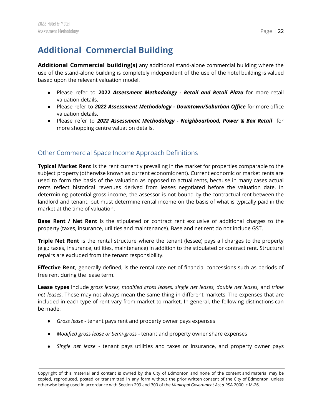# <span id="page-22-0"></span>**Additional Commercial Building**

**Additional Commercial building(s)** any additional stand-alone commercial building where the use of the stand-alone building is completely independent of the use of the hotel building is valued based upon the relevant valuation model.

- Please refer to **2022** *Assessment Methodology - Retail and Retail Plaza* for more retail valuation details.
- Please refer to *2022 Assessment Methodology - Downtown/Suburban Office* for more office valuation details.
- Please refer to *2022 Assessment Methodology - Neighbourhood, Power & Box Retail* for more shopping centre valuation details.

## <span id="page-22-1"></span>Other Commercial Space Income Approach Definitions

**Typical Market Rent** is the rent currently prevailing in the market for properties comparable to the subject property (otherwise known as current economic rent). Current economic or market rents are used to form the basis of the valuation as opposed to actual rents, because in many cases actual rents reflect historical revenues derived from leases negotiated before the valuation date. In determining potential gross income, the assessor is not bound by the contractual rent between the landlord and tenant, but must determine rental income on the basis of what is typically paid in the market at the time of valuation.

**Base Rent / Net Rent** is the stipulated or contract rent exclusive of additional charges to the property (taxes, insurance, utilities and maintenance). Base and net rent do not include GST.

**Triple Net Rent** is the rental structure where the tenant (lessee) pays all charges to the property (e.g.: taxes, insurance, utilities, maintenance) in addition to the stipulated or contract rent. Structural repairs are excluded from the tenant responsibility.

**Effective Rent**, generally defined, is the rental rate net of financial concessions such as periods of free rent during the lease term.

**Lease types** include *gross leases, modified gross leases, single net leases, double net leases,* and *triple net leases*. These may not always mean the same thing in different markets. The expenses that are included in each type of rent vary from market to market. In general, the following distinctions can be made:

- *Gross lease* tenant pays rent and property owner pays expenses
- *Modified gross lease or Semi-gross* tenant and property owner share expenses
- *Single net lease* tenant pays utilities and taxes or insurance, and property owner pays

Copyright of this material and content is owned by the City of Edmonton and none of the content and material may be copied, reproduced, posted or transmitted in any form without the prior written consent of the City of Edmonton, unless otherwise being used in accordance with Section 299 and 300 of the *Municipal Government Act,d* RSA 2000, c M-26.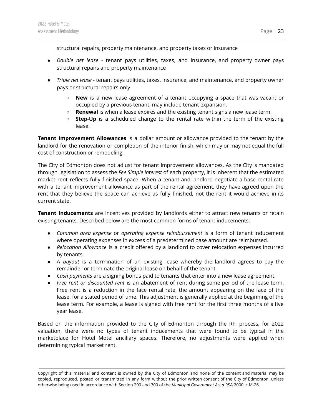structural repairs, property maintenance, and property taxes or insurance

- *Double net lease* tenant pays utilities, taxes, and insurance, and property owner pays structural repairs and property maintenance
- *Triple net lease* tenant pays utilities, taxes, insurance, and maintenance, and property owner pays or structural repairs only
	- **New** is a new lease agreement of a tenant occupying a space that was vacant or occupied by a previous tenant, may include tenant expansion.
	- **Renewal** is when a lease expires and the existing tenant signs a new lease term.
	- **Step-Up** is a scheduled change to the rental rate within the term of the existing lease.

**Tenant Improvement Allowances** is a dollar amount or allowance provided to the tenant by the landlord for the renovation or completion of the interior finish, which may or may not equal the full cost of construction or remodeling.

The City of Edmonton does not adjust for tenant improvement allowances. As the City is mandated through legislation to assess the *Fee Simple interest* of each property, it is inherent that the estimated market rent reflects fully finished space. When a tenant and landlord negotiate a base rental rate with a tenant improvement allowance as part of the rental agreement, they have agreed upon the rent that they believe the space can achieve as fully finished, not the rent it would achieve in its current state.

**Tenant Inducements** are incentives provided by landlords either to attract new tenants or retain existing tenants. Described below are the most common forms of tenant inducements:

- *Common area expense* or *operating expense reimbursement* is a form of tenant inducement where operating expenses in excess of a predetermined base amount are reimbursed.
- *Relocation Allowance* is a credit offered by a landlord to cover relocation expenses incurred by tenants.
- A *buyout* is a termination of an existing lease whereby the landlord agrees to pay the remainder or terminate the original lease on behalf of the tenant.
- *Cash payments* are a signing bonus paid to tenants that enter into a new lease agreement.
- *Free rent or discounted rent* is an abatement of rent during some period of the lease term. Free rent is a reduction in the face rental rate, the amount appearing on the face of the lease, for a stated period of time. This adjustment is generally applied at the beginning of the lease term. For example, a lease is signed with free rent for the first three months of a five year lease.

Based on the information provided to the City of Edmonton through the RFI process, for 2022 valuation, there were no types of tenant inducements that were found to be typical in the marketplace for Hotel Motel ancillary spaces. Therefore, no adjustments were applied when determining typical market rent.

Copyright of this material and content is owned by the City of Edmonton and none of the content and material may be copied, reproduced, posted or transmitted in any form without the prior written consent of the City of Edmonton, unless otherwise being used in accordance with Section 299 and 300 of the *Municipal Government Act,d* RSA 2000, c M-26.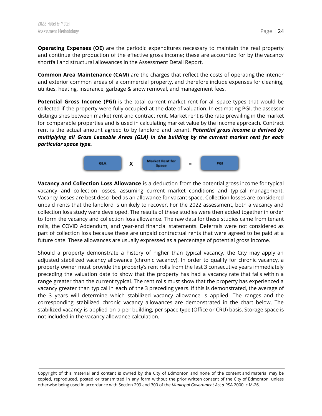**Operating Expenses (OE)** are the periodic expenditures necessary to maintain the real property and continue the production of the effective gross income; these are accounted for by the vacancy shortfall and structural allowances in the Assessment Detail Report.

**Common Area Maintenance (CAM)** are the charges that reflect the costs of operating the interior and exterior common areas of a commercial property, and therefore include expenses for cleaning, utilities, heating, insurance, garbage & snow removal, and management fees.

**Potential Gross Income (PGI)** is the total current market rent for all space types that would be collected if the property were fully occupied at the date of valuation. In estimating PGI, the assessor distinguishes between market rent and contract rent. Market rent is the rate prevailing in the market for comparable properties and is used in calculating market value by the income approach. Contract rent is the actual amount agreed to by landlord and tenant. *Potential gross income is derived by multiplying all Gross Leasable Areas (GLA) in the building by the current market rent for each particular space type.*



**Vacancy and Collection Loss Allowance** is a deduction from the potential gross income for typical vacancy and collection losses, assuming current market conditions and typical management. Vacancy losses are best described as an allowance for vacant space. Collection losses are considered unpaid rents that the landlord is unlikely to recover. For the 2022 assessment, both a vacancy and collection loss study were developed. The results of these studies were then added together in order to form the vacancy and collection loss allowance. The raw data for these studies came from tenant rolls, the COVID Addendum, and year-end financial statements. Deferrals were not considered as part of collection loss because these are unpaid contractual rents that were agreed to be paid at a future date. These allowances are usually expressed as a percentage of potential gross income.

Should a property demonstrate a history of higher than typical vacancy, the City may apply an adjusted stabilized vacancy allowance (chronic vacancy). In order to qualify for chronic vacancy, a property owner must provide the property's rent rolls from the last 3 consecutive years immediately preceding the valuation date to show that the property has had a vacancy rate that falls within a range greater than the current typical. The rent rolls must show that the property has experienced a vacancy greater than typical in each of the 3 preceding years. If this is demonstrated, the average of the 3 years will determine which stabilized vacancy allowance is applied. The ranges and the corresponding stabilized chronic vacancy allowances are demonstrated in the chart below. The stabilized vacancy is applied on a per building, per space type (Office or CRU) basis. Storage space is not included in the vacancy allowance calculation.

Copyright of this material and content is owned by the City of Edmonton and none of the content and material may be copied, reproduced, posted or transmitted in any form without the prior written consent of the City of Edmonton, unless otherwise being used in accordance with Section 299 and 300 of the *Municipal Government Act,d* RSA 2000, c M-26.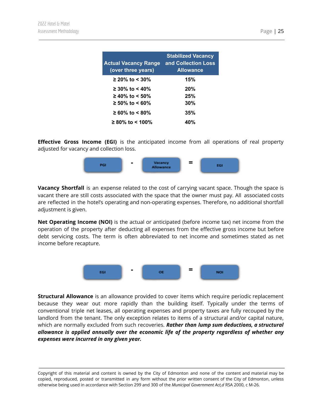| <b>Actual Vacancy Range</b><br>(over three years) | <b>Stabilized Vacancy</b><br>and Collection Loss<br><b>Allowance</b> |
|---------------------------------------------------|----------------------------------------------------------------------|
| $≥ 20\%$ to < 30%                                 | 15%                                                                  |
| $≥ 30\%$ to < 40%                                 | 20%                                                                  |
| $\geq 40\%$ to < 50%                              | 25%                                                                  |
| $≥ 50\%$ to < 60%                                 | 30%                                                                  |
| $≥ 60\%$ to < 80%                                 | 35%                                                                  |
| $≥ 80\%$ to < 100%                                | 40%                                                                  |
|                                                   |                                                                      |

**Effective Gross Income (EGI)** is the anticipated income from all operations of real property adjusted for vacancy and collection loss.



**Vacancy Shortfall** is an expense related to the cost of carrying vacant space. Though the space is vacant there are still costs associated with the space that the owner must pay. All associated costs are reflected in the hotel's operating and non-operating expenses. Therefore, no additional shortfall adjustment is given.

**Net Operating Income (NOI)** is the actual or anticipated (before income tax) net income from the operation of the property after deducting all expenses from the effective gross income but before debt servicing costs. The term is often abbreviated to net income and sometimes stated as net income before recapture.



**Structural Allowance** is an allowance provided to cover items which require periodic replacement because they wear out more rapidly than the building itself. Typically under the terms of conventional triple net leases, all operating expenses and property taxes are fully recouped by the landlord from the tenant. The only exception relates to items of a structural and/or capital nature, which are normally excluded from such recoveries. *Rather than lump sum deductions, a structural allowance is applied annually over the economic life of the property regardless of whether any expenses were incurred in any given year.*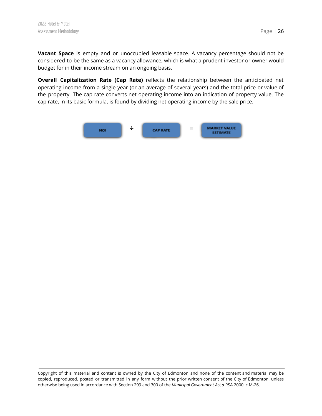**Vacant Space** is empty and or unoccupied leasable space. A vacancy percentage should not be considered to be the same as a vacancy allowance, which is what a prudent investor or owner would budget for in their income stream on an ongoing basis.

**Overall Capitalization Rate (Cap Rate)** reflects the relationship between the anticipated net operating income from a single year (or an average of several years) and the total price or value of the property. The cap rate converts net operating income into an indication of property value. The cap rate, in its basic formula, is found by dividing net operating income by the sale price.

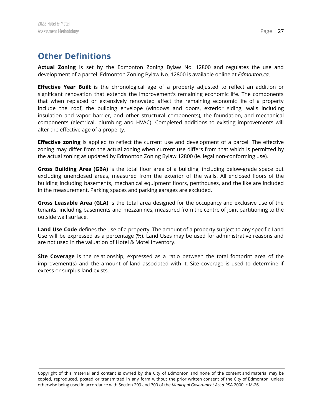## <span id="page-27-0"></span>**Other Definitions**

**Actual Zoning** is set by the Edmonton Zoning Bylaw No. 12800 and regulates the use and development of a parcel. Edmonton Zoning Bylaw No. 12800 is available online at *Edmonton.ca*.

**Effective Year Built** is the chronological age of a property adjusted to reflect an addition or significant renovation that extends the improvement's remaining economic life. The components that when replaced or extensively renovated affect the remaining economic life of a property include the roof, the building envelope (windows and doors, exterior siding, walls including insulation and vapor barrier, and other structural components), the foundation, and mechanical components (electrical, plumbing and HVAC). Completed additions to existing improvements will alter the effective age of a property.

**Effective zoning** is applied to reflect the current use and development of a parcel. The effective zoning may differ from the actual zoning when current use differs from that which is permitted by the actual zoning as updated by Edmonton Zoning Bylaw 12800 (ie. legal non-conforming use).

**Gross Building Area (GBA)** is the total floor area of a building, including below-grade space but excluding unenclosed areas, measured from the exterior of the walls. All enclosed floors of the building including basements, mechanical equipment floors, penthouses, and the like are included in the measurement. Parking spaces and parking garages are excluded.

**Gross Leasable Area (GLA)** is the total area designed for the occupancy and exclusive use of the tenants, including basements and mezzanines; measured from the centre of joint partitioning to the outside wall surface.

**Land Use Code** defines the use of a property. The amount of a property subject to any specific Land Use will be expressed as a percentage (%). Land Uses may be used for administrative reasons and are not used in the valuation of Hotel & Motel Inventory.

**Site Coverage** is the relationship, expressed as a ratio between the total footprint area of the improvement(s) and the amount of land associated with it. Site coverage is used to determine if excess or surplus land exists.

Copyright of this material and content is owned by the City of Edmonton and none of the content and material may be copied, reproduced, posted or transmitted in any form without the prior written consent of the City of Edmonton, unless otherwise being used in accordance with Section 299 and 300 of the *Municipal Government Act,d* RSA 2000, c M-26.